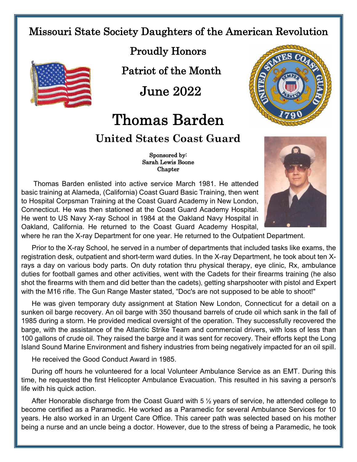## Missouri State Society Daughters of the American Revolution



Proudly Honors

Patriot of the Month

June 2022

## Thomas Barden

## **United States Coast Guard**

 Sponsored by: Sarah Lewis Boone **Chapter** 

Thomas Barden enlisted into active service March 1981. He attended basic training at Alameda, (California) Coast Guard Basic Training, then went to Hospital Corpsman Training at the Coast Guard Academy in New London, Connecticut. He was then stationed at the Coast Guard Academy Hospital. He went to US Navy X-ray School in 1984 at the Oakland Navy Hospital in Oakland, California. He returned to the Coast Guard Academy Hospital,



where he ran the X-ray Department for one year. He returned to the Outpatient Department.

Prior to the X-ray School, he served in a number of departments that included tasks like exams, the registration desk, outpatient and short-term ward duties. In the X-ray Department, he took about ten Xrays a day on various body parts. On duty rotation thru physical therapy, eye clinic, Rx, ambulance duties for football games and other activities, went with the Cadets for their firearms training (he also shot the firearms with them and did better than the cadets), getting sharpshooter with pistol and Expert with the M16 rifle. The Gun Range Master stated, "Doc's are not supposed to be able to shoot!"

He was given temporary duty assignment at Station New London, Connecticut for a detail on a sunken oil barge recovery. An oil barge with 350 thousand barrels of crude oil which sank in the fall of 1985 during a storm. He provided medical oversight of the operation. They successfully recovered the barge, with the assistance of the Atlantic Strike Team and commercial drivers, with loss of less than 100 gallons of crude oil. They raised the barge and it was sent for recovery. Their efforts kept the Long Island Sound Marine Environment and fishery industries from being negatively impacted for an oil spill.

He received the Good Conduct Award in 1985.

During off hours he volunteered for a local Volunteer Ambulance Service as an EMT. During this time, he requested the first Helicopter Ambulance Evacuation. This resulted in his saving a person's life with his quick action.

After Honorable discharge from the Coast Guard with 5 ½ years of service, he attended college to become certified as a Paramedic. He worked as a Paramedic for several Ambulance Services for 10 years. He also worked in an Urgent Care Office. This career path was selected based on his mother being a nurse and an uncle being a doctor. However, due to the stress of being a Paramedic, he took